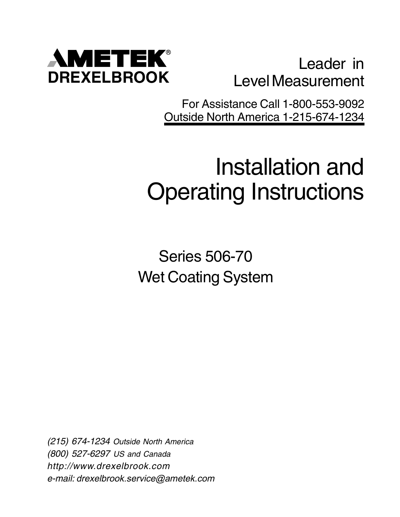

Leader in Level Measurement

For Assistance Call 1-800-553-9092 Outside North America 1-215-674-1234

# Installation and Operating Instructions

Series 506-70 Wet Coating System

(215) 674-1234 Outside North America (800) 527-6297 US and Canada http://www.drexelbrook.com e-mail: drexelbrook.service@ametek.com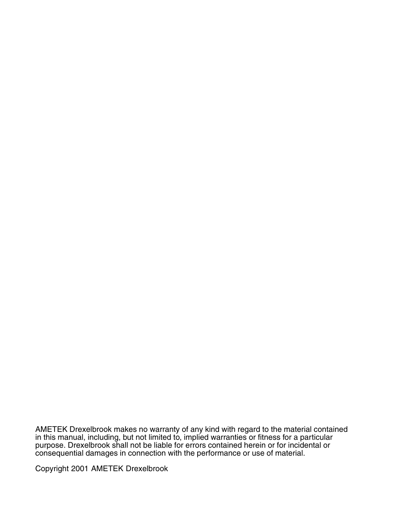AMETEK Drexelbrook makes no warranty of any kind with regard to the material contained in this manual, including, but not limited to, implied warranties or fitness for a particular purpose. Drexelbrook shall not be liable for errors contained herein or for incidental or consequential damages in connection with the performance or use of material.

Copyright 2001 AMETEK Drexelbrook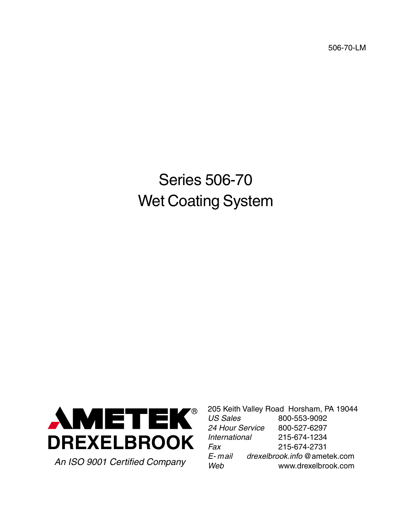506-70-LM

# Series 506-70 Wet Coating System



205 Keith Valley Road Horsham, PA 19044<br>US Sales 800-553-9092 800-553-9092 24 Hour Service 800-527-6297 International 215-674-1234 Fax 215-674-2731 E- mail drexelbrook.info @ametek.com An ISO 9001 Certified Company<br>www.drexelbrook.com www.drexelbrook.com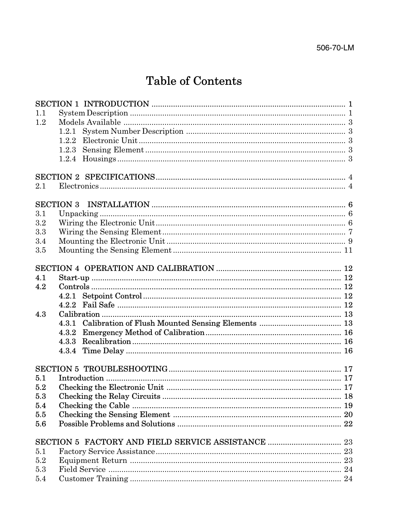## Table of Contents

| 1.1 |                  |  |  |  |
|-----|------------------|--|--|--|
| 1.2 |                  |  |  |  |
|     | 1.2.1            |  |  |  |
|     | 1.2.2            |  |  |  |
|     | 1.2.3            |  |  |  |
|     |                  |  |  |  |
|     |                  |  |  |  |
|     |                  |  |  |  |
| 2.1 |                  |  |  |  |
|     | <b>SECTION 3</b> |  |  |  |
| 3.1 |                  |  |  |  |
| 3.2 |                  |  |  |  |
| 3.3 |                  |  |  |  |
| 3.4 |                  |  |  |  |
| 3.5 |                  |  |  |  |
|     |                  |  |  |  |
|     |                  |  |  |  |
| 4.1 |                  |  |  |  |
| 4.2 |                  |  |  |  |
|     | 4.2.1            |  |  |  |
|     |                  |  |  |  |
| 4.3 |                  |  |  |  |
|     |                  |  |  |  |
|     | 4.3.2            |  |  |  |
|     | 4.3.3            |  |  |  |
|     | 4.3.4            |  |  |  |
|     |                  |  |  |  |
|     |                  |  |  |  |
| 5.1 |                  |  |  |  |
| 5.2 |                  |  |  |  |
| 5.3 |                  |  |  |  |
| 5.4 |                  |  |  |  |
| 5.5 |                  |  |  |  |
| 5.6 |                  |  |  |  |
|     |                  |  |  |  |
|     |                  |  |  |  |
| 5.1 |                  |  |  |  |
| 5.2 |                  |  |  |  |
| 5.3 |                  |  |  |  |
| 5.4 |                  |  |  |  |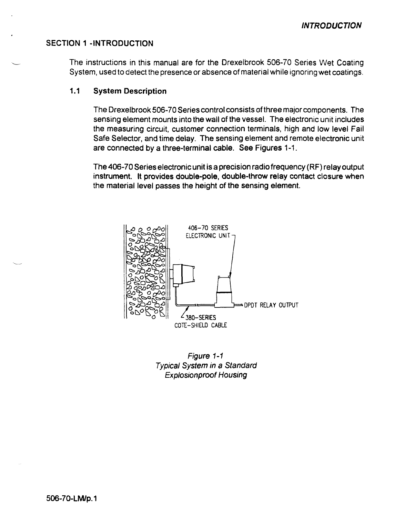### **SECTION 1 -INTRODUCTION**

The instructions in this manual are for the Drexelbrook 506-70 Series Wet Coating System, used to detect the presence or absence of material while ignoring wet coatings.

#### $1.1$ **System Description**

The Drexelbrook 506-70 Series control consists of three major components. The sensing element mounts into the wall of the vessel. The electronic unit includes the measuring circuit, customer connection terminals, high and low level Fail Safe Selector, and time delay. The sensing element and remote electronic unit are connected by a three-terminal cable. See Figures 1-1.

The 406-70 Series electronic unit is a precision radio frequency (RF) relay output instrument. It provides double-pole, double-throw relay contact closure when the material level passes the height of the sensing element.



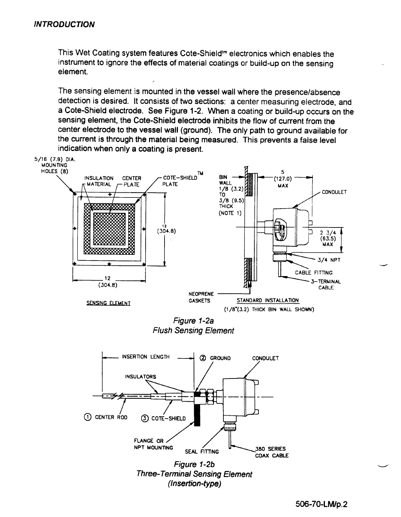This Wet Coating system features Cote-Shield<sup>tm</sup> electronics which enables the instrument to ignore the effects of material coatings or build-up on the sensing element.

The sensing element is mounted in the vessel wall where the presence/absence detection is desired. It consists of two sections: a center measuring electrode, and a Cote-Shield electrode. See Figure 1-2. When a coating or build-up occurs on the sensing element, the Cote-Shield electrode inhibits the flow of current from the center electrode to the vessel wall (ground). The only path to ground available for the current is through the material being measured. This prevents a false level indication when only a coating is present.

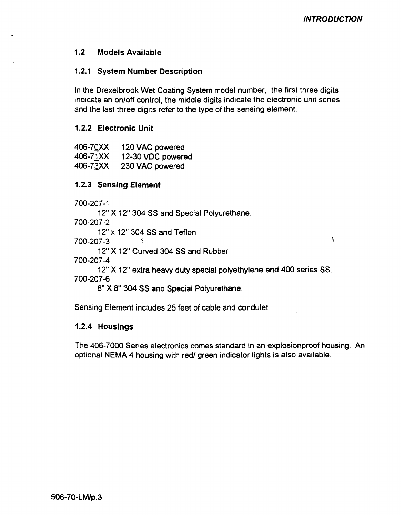$\Delta$ 

#### $1.2$ **Models Available**

### 1.2.1 System Number Description

In the Drexelbrook Wet Coating System model number, the first three digits indicate an on/off control, the middle digits indicate the electronic unit series and the last three digits refer to the type of the sensing element.

### 1.2.2 Electronic Unit

| 406-70XX | 120 VAC powered   |
|----------|-------------------|
| 406-71XX | 12-30 VDC powered |
| 406-73XX | 230 VAC powered   |

### **1.2.3 Sensing Element**

700-207-1

12" X 12" 304 SS and Special Polyurethane.

700-207-2

12" x 12" 304 SS and Teflon

700-207-3

12" X 12" Curved 304 SS and Rubber

700-207-4

12" X 12" extra heavy duty special polyethylene and 400 series SS. 700-207-6

8" X 8" 304 SS and Special Polyurethane.

Sensing Element includes 25 feet of cable and condulet.

### 1.2.4 Housings

The 406-7000 Series electronics comes standard in an explosionproof housing. An optional NEMA 4 housing with red/ green indicator lights is also available.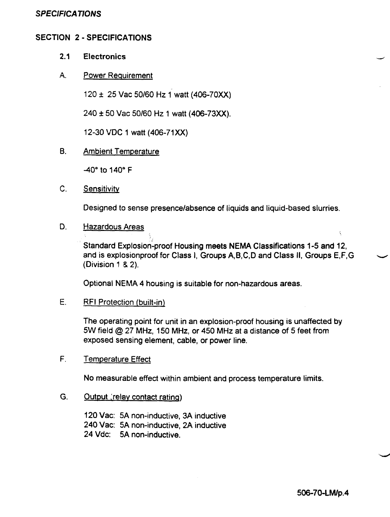### **SPECIFICATIONS**

### **SECTION 2 - SPECIFICATIONS**

#### $2.1$ **Electronics**

#### $A_{n}$ **Power Requirement**

120 ± 25 Vac 50/60 Hz 1 watt (406-70XX)

240 ± 50 Vac 50/60 Hz 1 watt (406-73XX).

12-30 VDC 1 watt (406-71XX)

**B. Ambient Temperature** 

-40° to 140° F

 $C_{1}$ Sensitivity

Designed to sense presence/absence of liquids and liquid-based slurries.

#### D. **Hazardous Areas**

Standard Explosion-proof Housing meets NEMA Classifications 1-5 and 12, and is explosionproof for Class I, Groups A, B, C, D and Class II, Groups E, F, G (Division 1 & 2).

Optional NEMA 4 housing is suitable for non-hazardous areas.

E. **RFI Protection (built-in)** 

> The operating point for unit in an explosion-proof housing is unaffected by 5W field @ 27 MHz, 150 MHz, or 450 MHz at a distance of 5 feet from exposed sensing element, cable, or power line.

F. **Temperature Effect** 

No measurable effect within ambient and process temperature limits.

G. Output (relay contact rating)

> 120 Vac: 5A non-inductive, 3A inductive 240 Vac: 5A non-inductive, 2A inductive 24 Vdc: 5A non-inductive.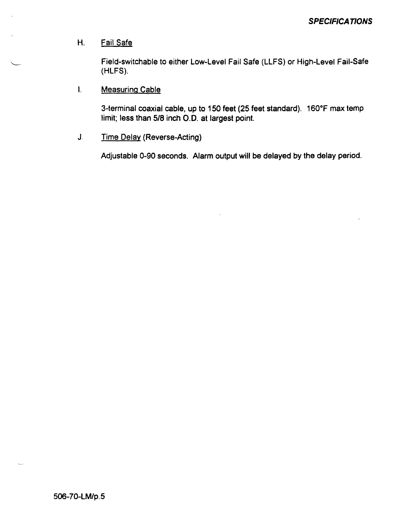#### $H_{\cdot}$ Fail Safe

Field-switchable to either Low-Level Fail Safe (LLFS) or High-Level Fail-Safe (HLFS).

#### $\overline{L}$ **Measuring Cable**

3-terminal coaxial cable, up to 150 feet (25 feet standard). 160°F max temp limit; less than 5/8 inch O.D. at largest point.

**Time Delay (Reverse-Acting)**  $J_{-}$ 

Adjustable 0-90 seconds. Alarm output will be delayed by the delay period.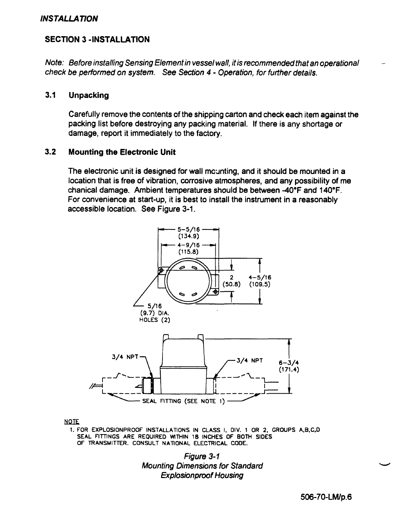### **INSTALLATION**

### **SECTION 3 - INSTALLATION**

Note: Before installing Sensing Element in vessel wall, it is recommended that an operational check be performed on system. See Section 4 - Operation, for further details.

#### $3.1$ **Unpacking**

Carefully remove the contents of the shipping carton and check each item against the packing list before destroying any packing material. If there is any shortage or damage, report it immediately to the factory.

#### $3.2$ **Mounting the Electronic Unit**

The electronic unit is designed for wall mounting, and it should be mounted in a location that is free of vibration, corrosive atmospheres, and any possibility of me chanical damage. Ambient temperatures should be between -40°F and 140°F. For convenience at start-up, it is best to install the instrument in a reasonably accessible location. See Figure 3-1.



**NOTE** 

1. FOR EXPLOSIONPROOF INSTALLATIONS IN CLASS I, DIV. 1 OR 2, GROUPS A, B, C, D SEAL FITTINGS ARE REQUIRED WITHIN 18 INCHES OF BOTH SIDES OF TRANSMITTER. CONSULT NATIONAL ELECTRICAL CODE.

> **Figure 3-1 Mounting Dimensions for Standard Explosionproof Housing**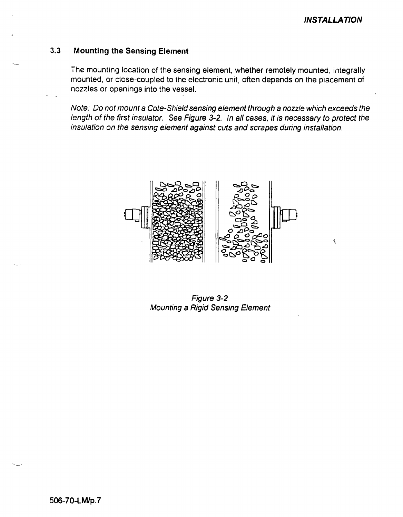$\tilde{\mathbf{S}}$ 

#### **Mounting the Sensing Element**  $3.3$

The mounting location of the sensing element, whether remotely mounted, integrally mounted, or close-coupled to the electronic unit, often depends on the placement of nozzles or openings into the vessel.

Note: Do not mount a Cote-Shield sensing element through a nozzle which exceeds the length of the first insulator. See Figure 3-2. In all cases, it is necessary to protect the insulation on the sensing element against cuts and scrapes during installation.



Figure 3-2 **Mounting a Rigid Sensing Element**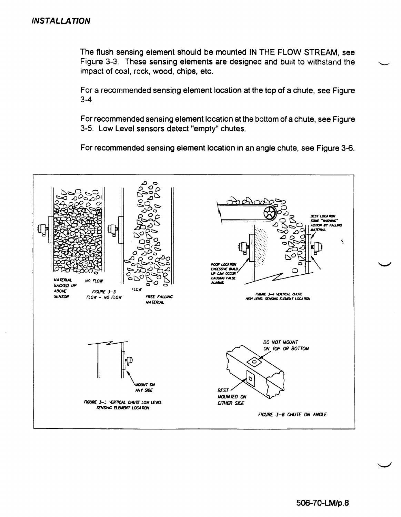The flush sensing element should be mounted IN THE FLOW STREAM, see Figure 3-3. These sensing elements are designed and built to withstand the impact of coal, rock, wood, chips, etc.

For a recommended sensing element location at the top of a chute, see Figure  $3-4.$ 

For recommended sensing element location at the bottom of a chute, see Figure 3-5. Low Level sensors detect "empty" chutes.

For recommended sensing element location in an angle chute, see Figure 3-6.

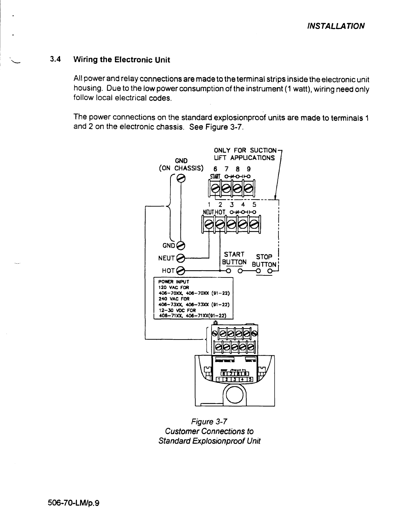#### **Wiring the Electronic Unit**  $3.4$

All power and relay connections are made to the terminal strips inside the electronic unit housing. Due to the low power consumption of the instrument (1 watt), wiring need only follow local electrical codes.

The power connections on the standard explosionproof units are made to terminals 1 and 2 on the electronic chassis. See Figure 3-7.



Figure 3-7 **Customer Connections to Standard Explosionproof Unit**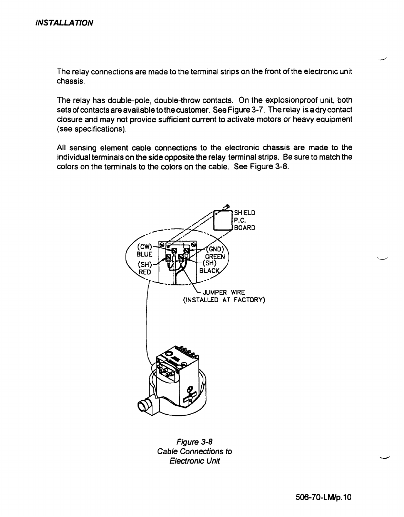The relay connections are made to the terminal strips on the front of the electronic unit chassis.

The relay has double-pole, double-throw contacts. On the explosion proof unit, both sets of contacts are available to the customer. See Figure 3-7. The relay is a dry contact closure and may not provide sufficient current to activate motors or heavy equipment (see specifications).

All sensing element cable connections to the electronic chassis are made to the individual terminals on the side opposite the relay terminal strips. Be sure to match the colors on the terminals to the colors on the cable. See Figure 3-8.



Figure 3-8 **Cable Connections to Electronic Unit**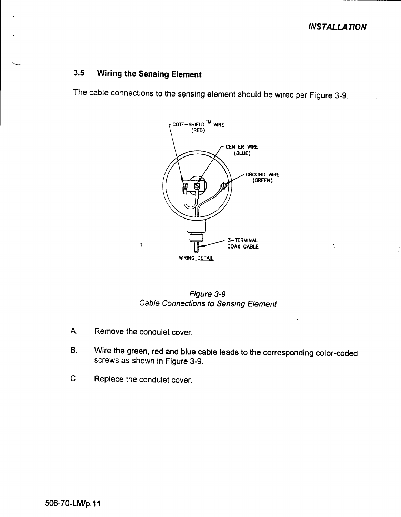**INSTALLATION** 

#### **Wiring the Sensing Element**  $3.5$

The cable connections to the sensing element should be wired per Figure 3-9.



Figure 3-9 **Cable Connections to Sensing Element** 

- A. Remove the condulet cover.
- Wire the green, red and blue cable leads to the corresponding color-coded **B.** screws as shown in Figure 3-9.
- $C_{\cdot}$ Replace the condulet cover.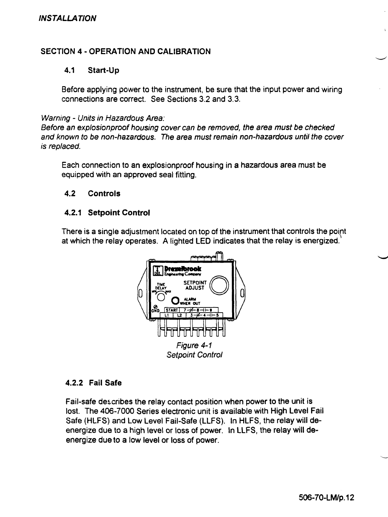### **SECTION 4 - OPERATION AND CALIBRATION**

#### $4.1$ Start-Up

Before applying power to the instrument, be sure that the input power and wiring connections are correct. See Sections 3.2 and 3.3.

### Warning - Units in Hazardous Area:

Before an explosionproof housing cover can be removed, the area must be checked and known to be non-hazardous. The area must remain non-hazardous until the cover is replaced.

Each connection to an explosionproof housing in a hazardous area must be equipped with an approved seal fitting.

#### $4.2$ **Controls**

### 4.2.1 Setpoint Control

There is a single adjustment located on top of the instrument that controls the point at which the relay operates. A lighted LED indicates that the relay is energized.



### 4.2.2 Fail Safe

Fail-safe describes the relay contact position when power to the unit is lost. The 406-7000 Series electronic unit is available with High Level Fail Safe (HLFS) and Low Level Fail-Safe (LLFS). In HLFS, the relay will deenergize due to a high level or loss of power. In LLFS, the relay will deenergize due to a low level or loss of power.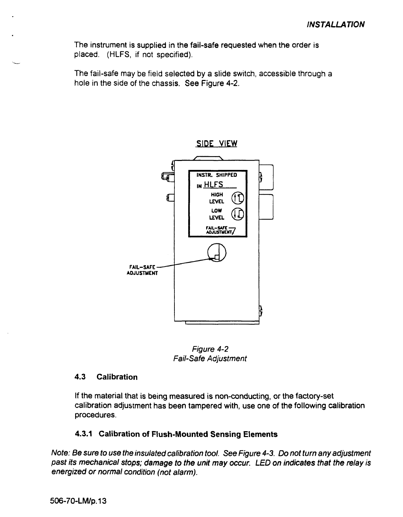The instrument is supplied in the fail-safe requested when the order is placed. (HLFS, if not specified).

The fail-safe may be field selected by a slide switch, accessible through a hole in the side of the chassis. See Figure 4-2.



Figure 4-2 **Fail-Safe Adjustment** 

#### $4.3$ **Calibration**

If the material that is being measured is non-conducting, or the factory-set calibration adjustment has been tampered with, use one of the following calibration procedures.

### 4.3.1 Calibration of Flush-Mounted Sensing Elements

Note: Be sure to use the insulated calibration tool. See Figure 4-3. Do not turn any adjustment past its mechanical stops; damage to the unit may occur. LED on indicates that the relay is energized or normal condition (not alarm).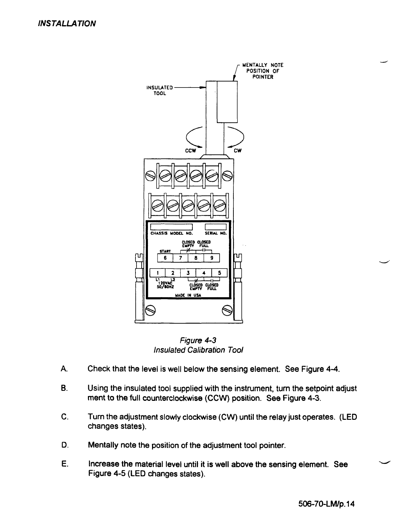

Figure 4-3 **Insulated Calibration Tool** 

- A. Check that the level is well below the sensing element. See Figure 4-4.
- **B.** Using the insulated tool supplied with the instrument, turn the setpoint adjust ment to the full counterclockwise (CCW) position. See Figure 4-3.
- C. Turn the adjustment slowly clockwise (CW) until the relay just operates. (LED changes states).
- D. Mentally note the position of the adjustment tool pointer.
- E. Increase the material level until it is well above the sensing element. See Figure 4-5 (LED changes states).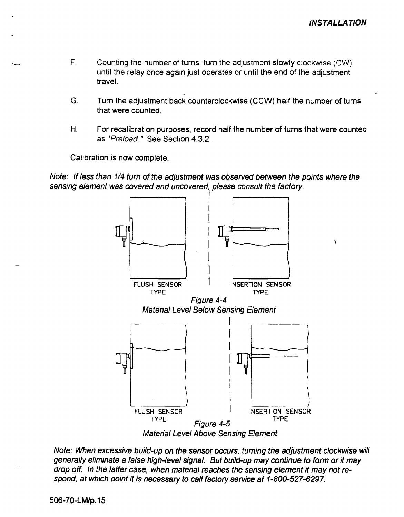$\mathbf{r}_\mathrm{c}$ 

- $F_{\perp}$ Counting the number of turns, turn the adjustment slowly clockwise (CW) until the relay once again just operates or until the end of the adjustment travel
- G. Turn the adjustment back counterclockwise (CCW) half the number of turns that were counted
- $H_{\cdot}$ For recalibration purposes, record half the number of turns that were counted as "Preload." See Section 4.3.2.

Calibration is now complete.

Note: If less than 1/4 turn of the adjustment was observed between the points where the sensing element was covered and uncovered, please consult the factory.



Note: When excessive build-up on the sensor occurs, turning the adjustment clockwise will generally eliminate a false high-level signal. But build-up may continue to form or it may drop off. In the latter case, when material reaches the sensing element it may not respond, at which point it is necessary to call factory service at 1-800-527-6297.

506-70-LM/p.15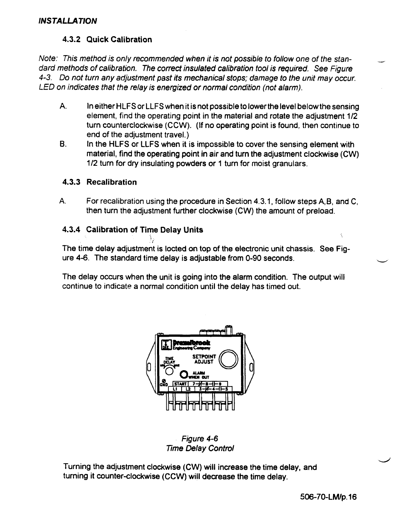### 4.3.2 Quick Calibration

Note: This method is only recommended when it is not possible to follow one of the standard methods of calibration. The correct insulated calibration tool is required. See Figure 4-3. Do not turn any adjustment past its mechanical stops; damage to the unit may occur. LED on indicates that the relay is energized or normal condition (not alarm).

- $A<sub>1</sub>$ In either HLFS or LLFS when it is not possible to lower the level below the sensing element, find the operating point in the material and rotate the adjustment 1/2 turn counterclockwise (CCW). (If no operating point is found, then continue to end of the adjustment travel.)
- **B.** In the HLFS or LLFS when it is impossible to cover the sensing element with material, find the operating point in air and turn the adjustment clockwise (CW) 1/2 turn for dry insulating powders or 1 turn for moist granulars.

### 4.3.3 Recalibration

А. For recalibration using the procedure in Section 4.3.1, follow steps A.B. and C. then turn the adjustment further clockwise (CW) the amount of preload.

### 4.3.4 Calibration of Time Delay Units

The time delay adjustment is locted on top of the electronic unit chassis. See Figure 4-6. The standard time delay is adjustable from 0-90 seconds.

The delay occurs when the unit is going into the alarm condition. The output will continue to indicate a normal condition until the delay has timed out.





Turning the adjustment clockwise (CW) will increase the time delay, and turning it counter-clockwise (CCW) will decrease the time delay.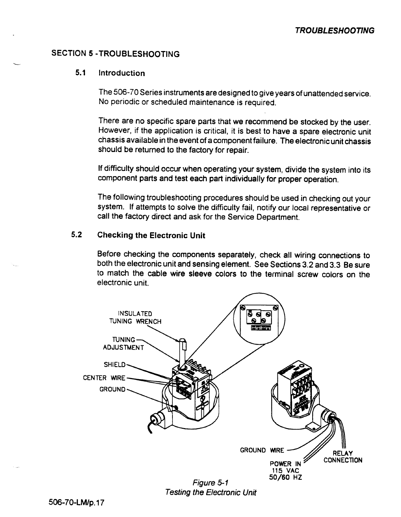### **SECTION 5 - TROUBLESHOOTING**

#### $5.1$ Introduction

The 506-70 Series instruments are designed to give years of unattended service. No periodic or scheduled maintenance is required.

There are no specific spare parts that we recommend be stocked by the user. However, if the application is critical, it is best to have a spare electronic unit chassis available in the event of a component failure. The electronic unit chassis should be returned to the factory for repair.

If difficulty should occur when operating your system, divide the system into its component parts and test each part individually for proper operation.

The following troubleshooting procedures should be used in checking out your system. If attempts to solve the difficulty fail, notify our local representative or call the factory direct and ask for the Service Department.

#### $5.2$ **Checking the Electronic Unit**

Before checking the components separately, check all wiring connections to both the electronic unit and sensing element. See Sections 3.2 and 3.3 Be sure to match the cable wire sleeve colors to the terminal screw colors on the electronic unit.



**Testing the Electronic Unit**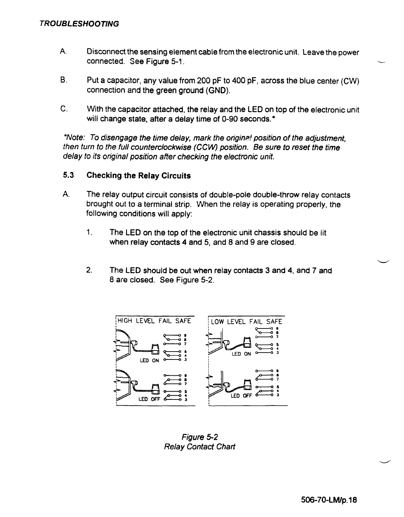- A. Disconnect the sensing element cable from the electronic unit. Leave the power connected. See Figure 5-1.
- **B**. Put a capacitor, any value from 200 pF to 400 pF, across the blue center (CW) connection and the green ground (GND).
- $C_{\cdot}$ With the capacitor attached, the relay and the LED on top of the electronic unit will change state, after a delay time of 0-90 seconds.\*

\*Note: To disengage the time delay, mark the original position of the adjustment, then turn to the full counterclockwise (CCW) position. Be sure to reset the time delay to its original position after checking the electronic unit.

#### $5.3$ **Checking the Relay Circuits**

- A. The relay output circuit consists of double-pole double-throw relay contacts brought out to a terminal strip. When the relay is operating properly, the following conditions will apply:
	- $1<sub>1</sub>$ The LED on the top of the electronic unit chassis should be lit when relay contacts 4 and 5, and 8 and 9 are closed.
	- $2.$ The LED should be out when relay contacts 3 and 4, and 7 and 8 are closed. See Figure 5-2.



Figure 5-2 **Relay Contact Chart**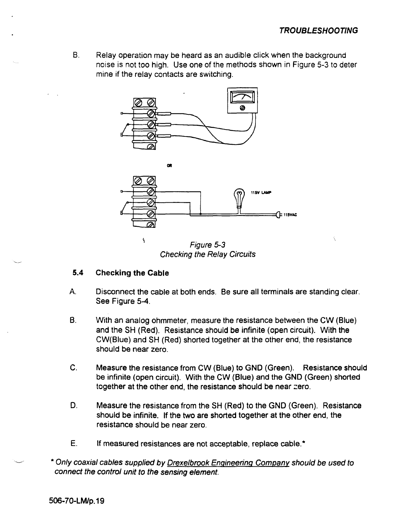$B<sub>1</sub>$ Relay operation may be heard as an audible click when the background noise is not too high. Use one of the methods shown in Figure 5-3 to deter mine if the relay contacts are switching.



Figure 5-3 **Checking the Relay Circuits** 

#### $5.4$ **Checking the Cable**

- A. Disconnect the cable at both ends. Be sure all terminals are standing clear. See Figure 5-4.
- **B.** With an analog ohmmeter, measure the resistance between the CW (Blue) and the SH (Red). Resistance should be infinite (open circuit). With the CW(Blue) and SH (Red) shorted together at the other end, the resistance should be near zero.
- C. Measure the resistance from CW (Blue) to GND (Green). Resistance should be infinite (open circuit). With the CW (Blue) and the GND (Green) shorted together at the other end, the resistance should be near zero.
- D. Measure the resistance from the SH (Red) to the GND (Green). Resistance should be infinite. If the two are shorted together at the other end, the resistance should be near zero.
- E. If measured resistances are not acceptable, replace cable.\*
- \* Only coaxial cables supplied by Drexelbrook Engineering Company should be used to connect the control unit to the sensing element.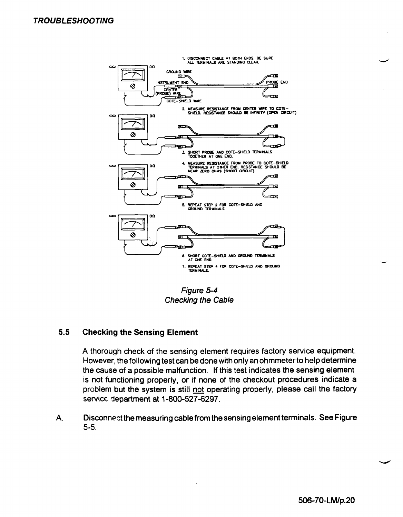

Figure 5-4 **Checking the Cable** 

#### $5.5$ **Checking the Sensing Element**

A thorough check of the sensing element requires factory service equipment. However, the following test can be done with only an ohmmeter to help determine the cause of a possible malfunction. If this test indicates the sensing element. is not functioning properly, or if none of the checkout procedures indicate a problem but the system is still not operating properly, please call the factory service department at 1-800-527-6297.

Disconnect the measuring cable from the sensing element terminals. See Figure A.  $5 - 5.$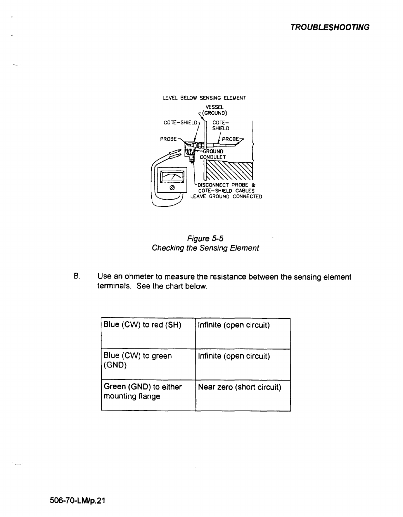

Figure 5-5 **Checking the Sensing Element** 

**B.** Use an ohmeter to measure the resistance between the sensing element terminals. See the chart below.

| Blue (CW) to red (SH)                    | Infinite (open circuit)   |
|------------------------------------------|---------------------------|
| Blue (CW) to green<br>(SND)              | Infinite (open circuit)   |
| Green (GND) to either<br>mounting flange | Near zero (short circuit) |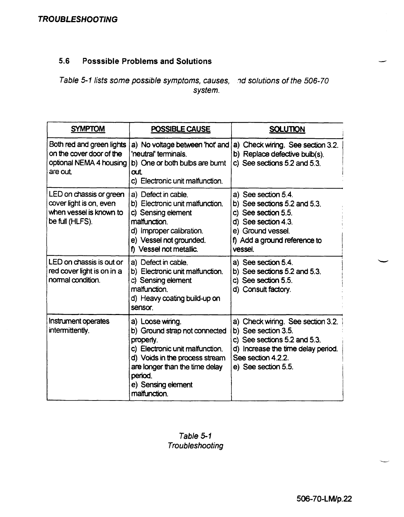#### $5.6$ **Posssible Problems and Solutions**

Table 5-1 lists some possible symptoms, causes, and solutions of the 506-70 system.

| <b>SYMPTOM</b>                                                                                   | POSSIBLE CAUSE                                                                                                                                                                                                        | <b>SOLUTION</b>                                                                                                                                                             |
|--------------------------------------------------------------------------------------------------|-----------------------------------------------------------------------------------------------------------------------------------------------------------------------------------------------------------------------|-----------------------------------------------------------------------------------------------------------------------------------------------------------------------------|
| Both red and green lights<br>on the cover door of the<br>optional NEMA 4 housing<br>are out.     | a) No voltage between 'hot' and<br>'neutral' terminals.<br>b) One or both bulbs are burnt<br>αıt<br>c) Electronic unit malfunction.                                                                                   | a) Check wiring. See section 3.2.<br>b) Replace defective bulb(s).<br>c) See sections $5.2$ and $5.3$ .                                                                     |
| LED on chassis or green<br>cover light is on, even<br>when vessel is known to<br>be full (HLFS). | a) Defect in cable.<br>b) Electronic unit malfunction.<br>c) Sensing element<br>malfunction.<br>d) Improper calibration.<br>e) Vessel not grounded.<br>f) Vessel not metallic.                                        | a) See section 5.4.<br>b) See sections $5.2$ and $5.3$ .<br>c) See section 5.5.<br>d) See section 4.3.<br>e) Ground vessel.<br>f) Add a ground reference to<br>vessel.      |
| LED on chassis is out or<br>red cover light is on in a<br>normal condition.                      | a) Defect in cable.<br>b) Electronic unit malfunction.<br>c) Sensing element<br>malfunction.<br>d) Heavy coating build-up on<br>sensor.                                                                               | a) See section 5.4.<br>b) See sections 5.2 and 5.3.<br>c) See section 5.5.<br>d) Consult factory.                                                                           |
| Instrument operates<br>intermittently.                                                           | a) Loose winng.<br>b) Ground strap not connected<br>properly.<br>c) Electronic unit malfunction.<br>d) Voids in the process stream<br>are longer than the time delay<br>period.<br>e) Sensing element<br>malfunction. | a) Check wiring. See section 3.2.<br>b) See section 3.5.<br>c) See sections 5.2 and 5.3.<br>d) Increase the time delay period.<br>See section 4.2.2.<br>e) See section 5.5. |

Table 5-1 Troubleshooting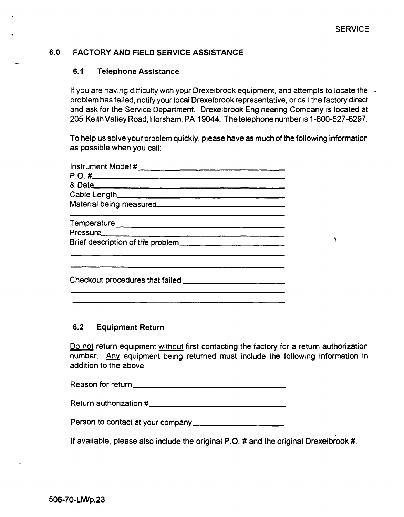۱

#### $6.0$ **FACTORY AND FIELD SERVICE ASSISTANCE**

#### $6.1$ **Telephone Assistance**

If you are having difficulty with your Drexelbrook equipment, and attempts to locate the problem has failed, notify your local Drexelbrook representative, or call the factory direct and ask for the Service Department. Drexelbrook Engineering Company is located at 205 Keith Valley Road, Horsham, PA 19044. The telephone number is 1-800-527-6297.

To help us solve your problem quickly, please have as much of the following information as possible when you call:

| Cable Length |  |
|--------------|--|
|              |  |
|              |  |
|              |  |
|              |  |
|              |  |
|              |  |

#### $6.2$ **Equipment Return**

Do not return equipment without first contacting the factory for a return authorization number. Any equipment being returned must include the following information in addition to the above

| Reason for return |  |
|-------------------|--|
|-------------------|--|

If available, please also include the original P.O. # and the original Drexelbrook #.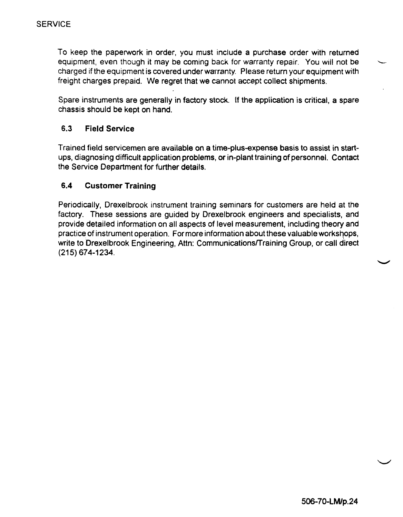To keep the paperwork in order, you must include a purchase order with returned equipment, even though it may be coming back for warranty repair. You will not be charged if the equipment is covered under warranty. Please return your equipment with freight charges prepaid. We regret that we cannot accept collect shipments.

Spare instruments are generally in factory stock. If the application is critical, a spare chassis should be kept on hand.

#### $6.3$ **Field Service**

Trained field servicemen are available on a time-plus-expense basis to assist in startups, diagnosing difficult application problems, or in-plant training of personnel. Contact the Service Department for further details.

#### $6.4$ **Customer Training**

Periodically, Drexelbrook instrument training seminars for customers are held at the factory. These sessions are guided by Drexelbrook engineers and specialists, and provide detailed information on all aspects of level measurement, including theory and practice of instrument operation. For more information about these valuable workshops, write to Drexelbrook Engineering, Attn: Communications/Training Group, or call direct  $(215) 674 - 1234.$